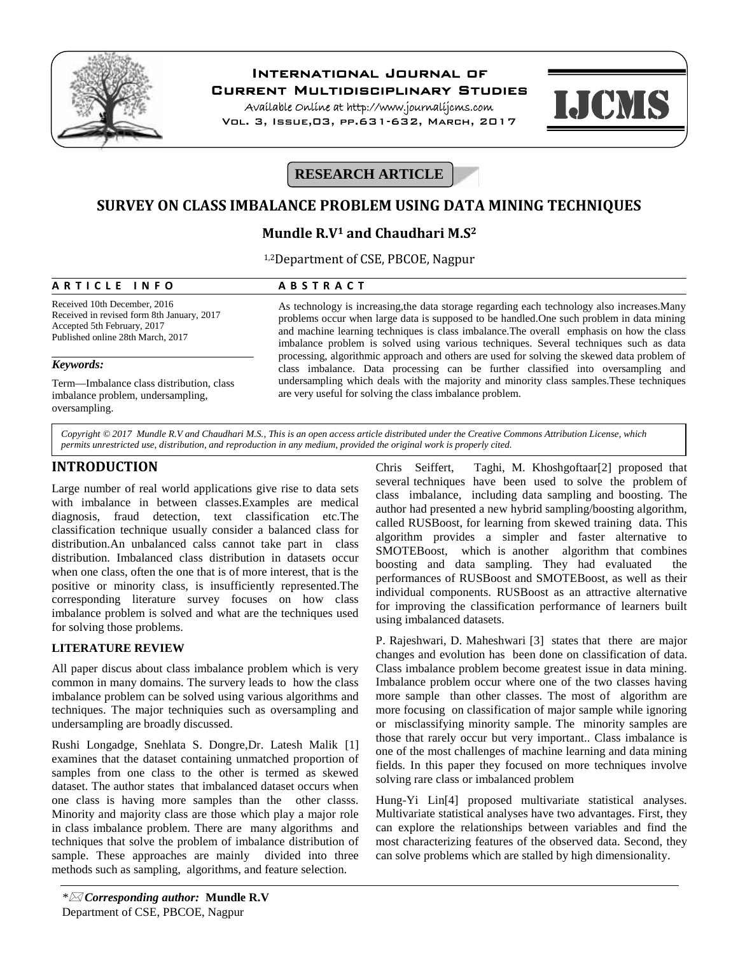

# **International Journal of**

**Current Multidisciplinary Studies**

**Available Online at http://www.journalijcms.com** Vol. 3, Issue,03, pp.631-632, March, 2017



# **RESEARCH ARTICLE**

## **SURVEY ON CLASS IMBALANCE PROBLEM USING DATA MINING TECHNIQUES**

# **Mundle R.V<sup>1</sup> and Chaudhari M.S<sup>2</sup> A R T I C L E I N F O**<br> **A B S T R A C T**<br> **A B S T R A C T**<br> **A B S T R A C T**<br> **A** B S T R A C T<br>
As technology is increasing, the data stor

1,2Department of CSE, PBCOE, Nagpur

Received 10th December, 2016 Received in revised form 8th January, 2017 Accepted 5th February, 2017 Published online 28th March, 2017

#### *Keywords:*

Term—Imbalance class distribution, class imbalance problem, undersampling, oversampling.

As technology is increasing,the data storage regarding each technology also increases.Many problems occur when large data is supposed to be handled.One such problem in data mining and machine learning techniques is class imbalance.The overall emphasis on how the class imbalance problem is solved using various techniques. Several techniques such as data processing, algorithmic approach and others are used for solving the skewed data problem of class imbalance. Data processing can be further classified into oversampling and undersampling which deals with the majority and minority class samples.These techniques are very useful for solving the class imbalance problem.

*Copyright © 2017 Mundle R.V and Chaudhari M.S., This is an open access article distributed under the Creative Commons Attribution License, which permits unrestricted use, distribution, and reproduction in any medium, provided the original work is properly cited.*

## **INTRODUCTION**

Large number of real world applications give rise to data sets with imbalance in between classes.Examples are medical diagnosis, fraud detection, text classification etc.The classification technique usually consider a balanced class for distribution.An unbalanced calss cannot take part in class distribution. Imbalanced class distribution in datasets occur when one class, often the one that is of more interest, that is the positive or minority class, is insufficiently represented.The corresponding literature survey focuses on how class imbalance problem is solved and what are the techniques used for solving those problems.

#### **LITERATURE REVIEW**

All paper discus about class imbalance problem which is very common in many domains. The survery leads to how the class imbalance problem can be solved using various algorithms and techniques. The major techniquies such as oversampling and undersampling are broadly discussed.

Rushi Longadge, Snehlata S. Dongre,Dr. Latesh Malik [1] examines that the dataset containing unmatched proportion of samples from one class to the other is termed as skewed dataset. The author states that imbalanced dataset occurs when one class is having more samples than the other classs. Minority and majority class are those which play a major role in class imbalance problem. There are many algorithms and techniques that solve the problem of imbalance distribution of sample. These approaches are mainly divided into three methods such as sampling, algorithms, and feature selection.

Chris Seiffert, Taghi, M. Khoshgoftaar[2] proposed that several techniques have been used to solve the problem of class imbalance, including data sampling and boosting. The author had presented a new hybrid sampling/boosting algorithm, called RUSBoost, for learning from skewed training data. This algorithm provides a simpler and faster alternative to SMOTEBoost, which is another algorithm that combines boosting and data sampling. They had evaluated the performances of RUSBoost and SMOTEBoost, as well as their individual components. RUSBoost as an attractive alternative for improving the classification performance of learners built using imbalanced datasets.

P. Rajeshwari, D. Maheshwari [3] states that there are major changes and evolution has been done on classification of data. Class imbalance problem become greatest issue in data mining. Imbalance problem occur where one of the two classes having more sample than other classes. The most of algorithm are more focusing on classification of major sample while ignoring or misclassifying minority sample. The minority samples are those that rarely occur but very important.. Class imbalance is one of the most challenges of machine learning and data mining fields. In this paper they focused on more techniques involve solving rare class or imbalanced problem

Hung-Yi Lin[4] proposed multivariate statistical analyses. Multivariate statistical analyses have two advantages. First, they can explore the relationships between variables and find the most characterizing features of the observed data. Second, they can solve problems which are stalled by high dimensionality.